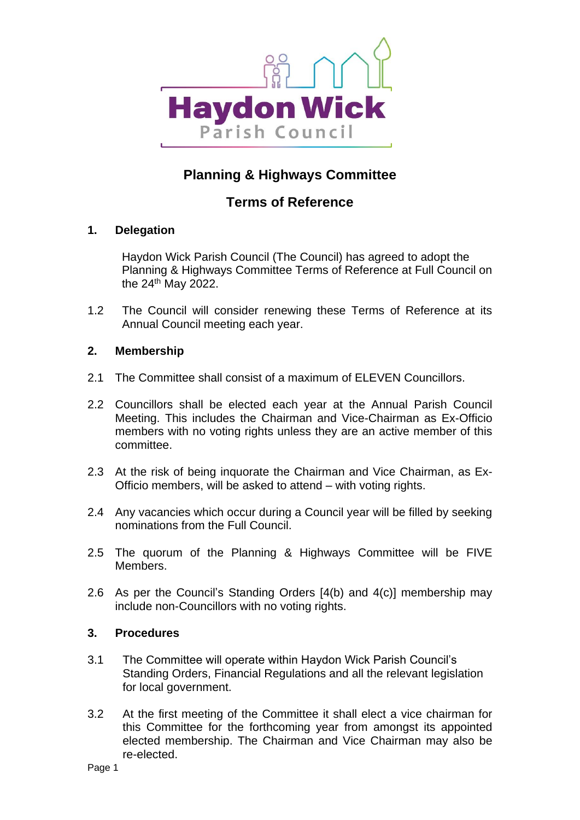

# **Planning & Highways Committee**

## **Terms of Reference**

### **1. Delegation**

Haydon Wick Parish Council (The Council) has agreed to adopt the Planning & Highways Committee Terms of Reference at Full Council on the 24th May 2022.

1.2 The Council will consider renewing these Terms of Reference at its Annual Council meeting each year.

#### **2. Membership**

- 2.1 The Committee shall consist of a maximum of ELEVEN Councillors.
- 2.2 Councillors shall be elected each year at the Annual Parish Council Meeting. This includes the Chairman and Vice-Chairman as Ex-Officio members with no voting rights unless they are an active member of this committee.
- 2.3 At the risk of being inquorate the Chairman and Vice Chairman, as Ex-Officio members, will be asked to attend – with voting rights.
- 2.4 Any vacancies which occur during a Council year will be filled by seeking nominations from the Full Council.
- 2.5 The quorum of the Planning & Highways Committee will be FIVE Members.
- 2.6 As per the Council's Standing Orders [4(b) and 4(c)] membership may include non-Councillors with no voting rights.

#### **3. Procedures**

- 3.1 The Committee will operate within Haydon Wick Parish Council's Standing Orders, Financial Regulations and all the relevant legislation for local government.
- 3.2 At the first meeting of the Committee it shall elect a vice chairman for this Committee for the forthcoming year from amongst its appointed elected membership. The Chairman and Vice Chairman may also be re-elected.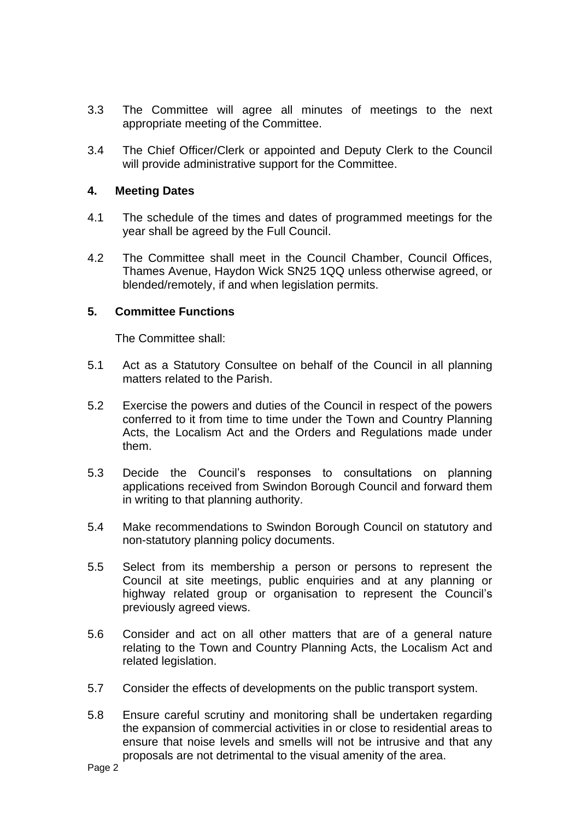- 3.3 The Committee will agree all minutes of meetings to the next appropriate meeting of the Committee.
- 3.4 The Chief Officer/Clerk or appointed and Deputy Clerk to the Council will provide administrative support for the Committee.

#### **4. Meeting Dates**

- 4.1 The schedule of the times and dates of programmed meetings for the year shall be agreed by the Full Council.
- 4.2 The Committee shall meet in the Council Chamber, Council Offices, Thames Avenue, Haydon Wick SN25 1QQ unless otherwise agreed, or blended/remotely, if and when legislation permits.

#### **5. Committee Functions**

The Committee shall:

- 5.1 Act as a Statutory Consultee on behalf of the Council in all planning matters related to the Parish.
- 5.2 Exercise the powers and duties of the Council in respect of the powers conferred to it from time to time under the Town and Country Planning Acts, the Localism Act and the Orders and Regulations made under them.
- 5.3 Decide the Council's responses to consultations on planning applications received from Swindon Borough Council and forward them in writing to that planning authority.
- 5.4 Make recommendations to Swindon Borough Council on statutory and non-statutory planning policy documents.
- 5.5 Select from its membership a person or persons to represent the Council at site meetings, public enquiries and at any planning or highway related group or organisation to represent the Council's previously agreed views.
- 5.6 Consider and act on all other matters that are of a general nature relating to the Town and Country Planning Acts, the Localism Act and related legislation.
- 5.7 Consider the effects of developments on the public transport system.
- 5.8 Ensure careful scrutiny and monitoring shall be undertaken regarding the expansion of commercial activities in or close to residential areas to ensure that noise levels and smells will not be intrusive and that any proposals are not detrimental to the visual amenity of the area.